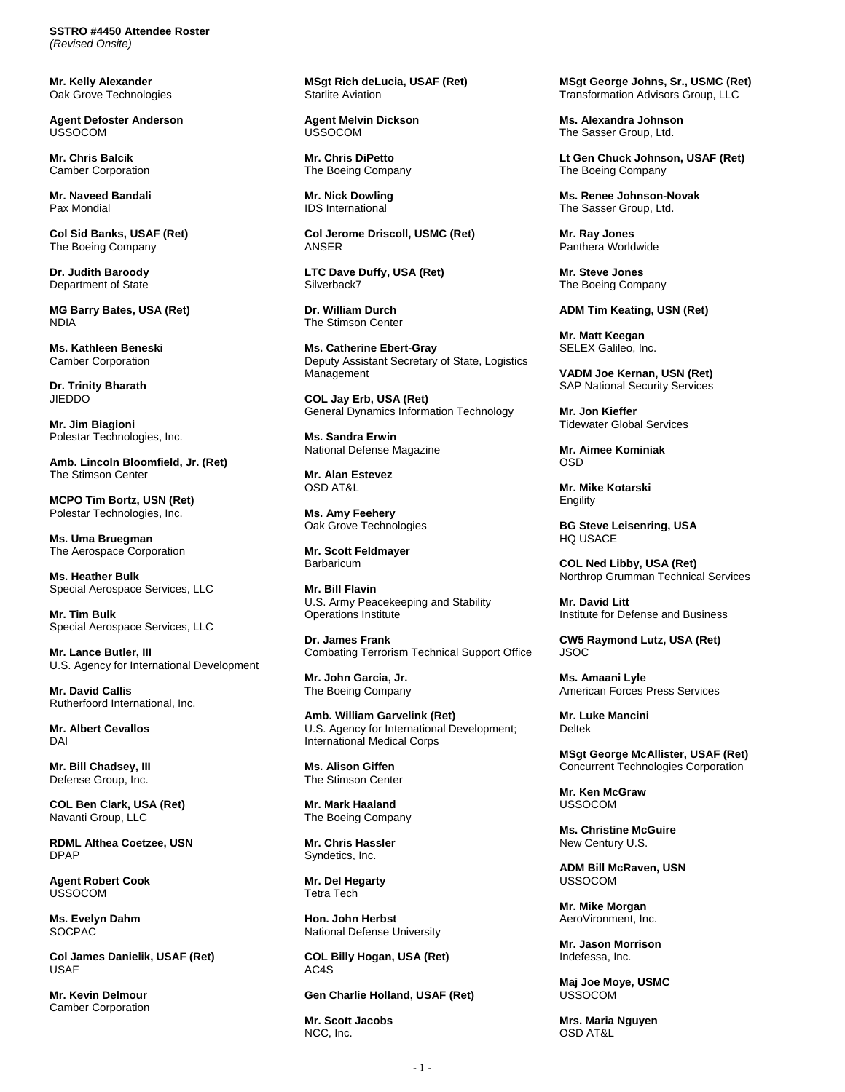**SSTRO #4450 Attendee Roster**  *(Revised Onsite)* 

**Mr. Kelly Alexander**  Oak Grove Technologies

**Agent Defoster Anderson**  USSOCOM

**Mr. Chris Balcik**  Camber Corporation

**Mr. Naveed Bandali**  Pax Mondial

**Col Sid Banks, USAF (Ret)**  The Boeing Company

**Dr. Judith Baroody**  Department of State

**MG Barry Bates, USA (Ret)**  NDIA

**Ms. Kathleen Beneski**  Camber Corporation

**Dr. Trinity Bharath JIEDDO** 

**Mr. Jim Biagioni**  Polestar Technologies, Inc.

**Amb. Lincoln Bloomfield, Jr. (Ret)**  The Stimson Center

**MCPO Tim Bortz, USN (Ret)**  Polestar Technologies, Inc.

**Ms. Uma Bruegman**  The Aerospace Corporation

**Ms. Heather Bulk**  Special Aerospace Services, LLC

**Mr. Tim Bulk**  Special Aerospace Services, LLC

**Mr. Lance Butler, III**  U.S. Agency for International Development

**Mr. David Callis**  Rutherfoord International, Inc.

**Mr. Albert Cevallos**  DAI

**Mr. Bill Chadsey, III**  Defense Group, Inc.

**COL Ben Clark, USA (Ret)**  Navanti Group, LLC

**RDML Althea Coetzee, USN**  DPAP

**Agent Robert Cook**  USSOCOM

**Ms. Evelyn Dahm**  SOCPAC

**Col James Danielik, USAF (Ret)**  USAF

**Mr. Kevin Delmour**  Camber Corporation **MSgt Rich deLucia, USAF (Ret)**  Starlite Aviation

**Agent Melvin Dickson**  USSOCOM

**Mr. Chris DiPetto**  The Boeing Company

**Mr. Nick Dowling**  IDS International

**Col Jerome Driscoll, USMC (Ret)**  ANSER

**LTC Dave Duffy, USA (Ret)**  Silverback7

**Dr. William Durch**  The Stimson Center

**Ms. Catherine Ebert-Gray**  Deputy Assistant Secretary of State, Logistics Management

**COL Jay Erb, USA (Ret)**  General Dynamics Information Technology

**Ms. Sandra Erwin**  National Defense Magazine

**Mr. Alan Estevez**  OSD AT&L

**Ms. Amy Feehery**  Oak Grove Technologies

**Mr. Scott Feldmayer Barbaricum** 

**Mr. Bill Flavin**  U.S. Army Peacekeeping and Stability Operations Institute

**Dr. James Frank**  Combating Terrorism Technical Support Office

**Mr. John Garcia, Jr.**  The Boeing Company

**Amb. William Garvelink (Ret)**  U.S. Agency for International Development; International Medical Corps

**Ms. Alison Giffen**  The Stimson Center

**Mr. Mark Haaland**  The Boeing Company

**Mr. Chris Hassler**  Syndetics, Inc.

**Mr. Del Hegarty**  Tetra Tech

**Hon. John Herbst**  National Defense University

**COL Billy Hogan, USA (Ret)**  AC4S

**Gen Charlie Holland, USAF (Ret)** 

**Mr. Scott Jacobs**  NCC, Inc.

**MSgt George Johns, Sr., USMC (Ret)**  Transformation Advisors Group, LLC

**Ms. Alexandra Johnson**  The Sasser Group, Ltd.

**Lt Gen Chuck Johnson, USAF (Ret)**  The Boeing Company

**Ms. Renee Johnson-Novak**  The Sasser Group, Ltd.

**Mr. Ray Jones**  Panthera Worldwide

**Mr. Steve Jones**  The Boeing Company

## **ADM Tim Keating, USN (Ret)**

**Mr. Matt Keegan**  SELEX Galileo, Inc.

**VADM Joe Kernan, USN (Ret)**  SAP National Security Services

**Mr. Jon Kieffer**  Tidewater Global Services

**Mr. Aimee Kominiak**  OSD

**Mr. Mike Kotarski**  Engility

**BG Steve Leisenring, USA**  HQ USACE

**COL Ned Libby, USA (Ret)**  Northrop Grumman Technical Services

**Mr. David Litt**  Institute for Defense and Business

**CW5 Raymond Lutz, USA (Ret)**  JSOC

**Ms. Amaani Lyle**  American Forces Press Services

**Mr. Luke Mancini**  Deltek

**MSgt George McAllister, USAF (Ret)**  Concurrent Technologies Corporation

**Mr. Ken McGraw**  USSOCOM

**Ms. Christine McGuire**  New Century U.S.

**ADM Bill McRaven, USN**  USSOCOM

**Mr. Mike Morgan**  AeroVironment, Inc.

**Mr. Jason Morrison**  Indefessa, Inc.

**Maj Joe Moye, USMC**  USSOCOM

**Mrs. Maria Nguyen**  OSD AT&L